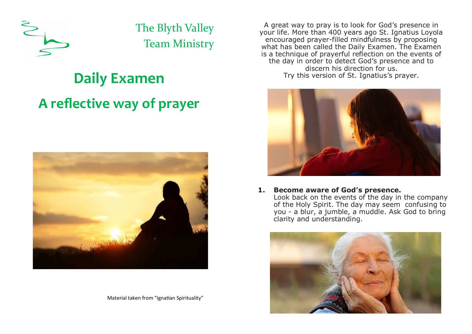

The Blyth Valley Team Ministry

# **Daily Examen A reflective way of prayer**



Material taken from "Ignatian Spirituality"

A great way to pray is to look for God's presence in your life. More than 400 years ago St. Ignatius Loyola encouraged prayer-filled mindfulness by proposing what has been called the Daily Examen. The Examen is a technique of prayerful reflection on the events of the day in order to detect God's presence and to discern his direction for us. Try this version of St. Ignatius's prayer.



#### **1. Become aware of God's presence.**

Look back on the events of the day in the company of the Holy Spirit. The day may seem confusing to you - a blur, a jumble, a muddle. Ask God to bring clarity and understanding.